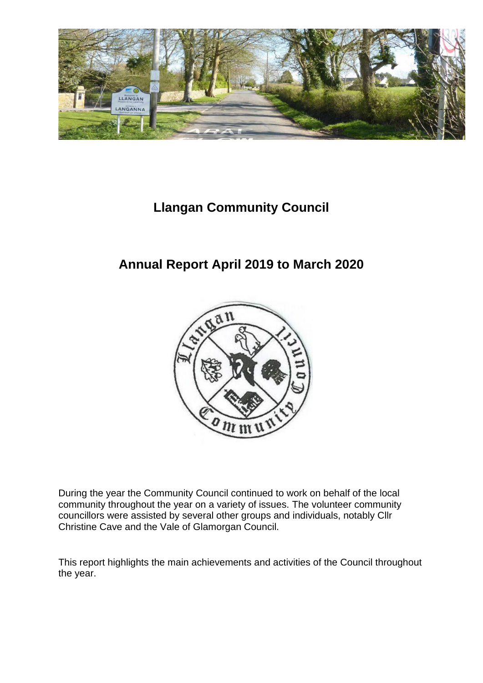

## **Llangan Community Council**

## **Annual Report April 2019 to March 2020**



During the year the Community Council continued to work on behalf of the local community throughout the year on a variety of issues. The volunteer community councillors were assisted by several other groups and individuals, notably Cllr Christine Cave and the Vale of Glamorgan Council.

This report highlights the main achievements and activities of the Council throughout the year.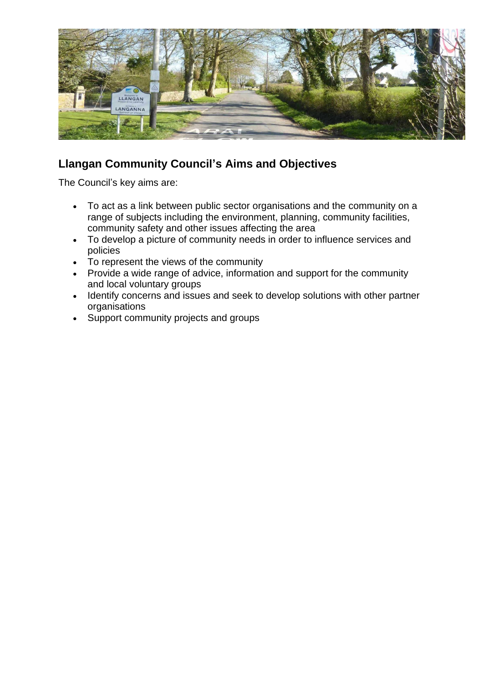

### **Llangan Community Council's Aims and Objectives**

The Council's key aims are:

- To act as a link between public sector organisations and the community on a range of subjects including the environment, planning, community facilities, community safety and other issues affecting the area
- To develop a picture of community needs in order to influence services and policies
- To represent the views of the community
- Provide a wide range of advice, information and support for the community and local voluntary groups
- Identify concerns and issues and seek to develop solutions with other partner organisations
- Support community projects and groups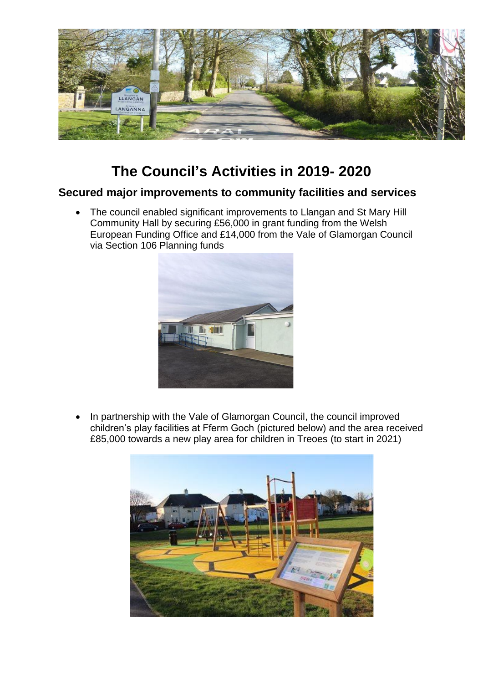

# **The Council's Activities in 2019- 2020**

#### **Secured major improvements to community facilities and services**

• The council enabled significant improvements to Llangan and St Mary Hill Community Hall by securing £56,000 in grant funding from the Welsh European Funding Office and £14,000 from the Vale of Glamorgan Council via Section 106 Planning funds



• In partnership with the Vale of Glamorgan Council, the council improved children's play facilities at Fferm Goch (pictured below) and the area received £85,000 towards a new play area for children in Treoes (to start in 2021)

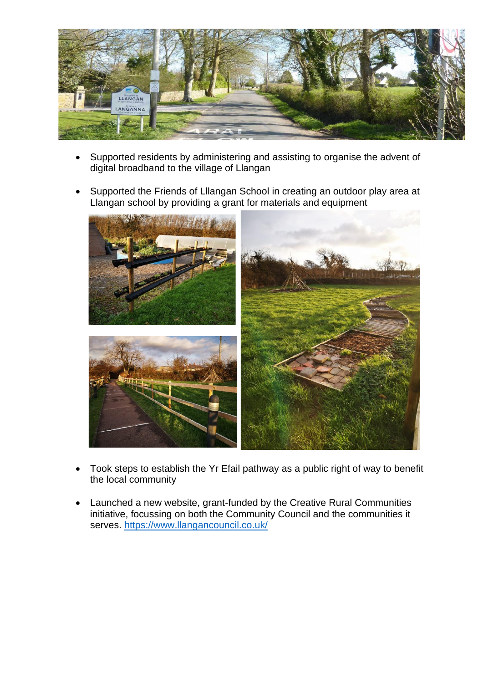

- Supported residents by administering and assisting to organise the advent of digital broadband to the village of Llangan
- Supported the Friends of Lllangan School in creating an outdoor play area at Llangan school by providing a grant for materials and equipment



- Took steps to establish the Yr Efail pathway as a public right of way to benefit the local community
- Launched a new website, grant-funded by the Creative Rural Communities initiative, focussing on both the Community Council and the communities it serves.<https://www.llangancouncil.co.uk/>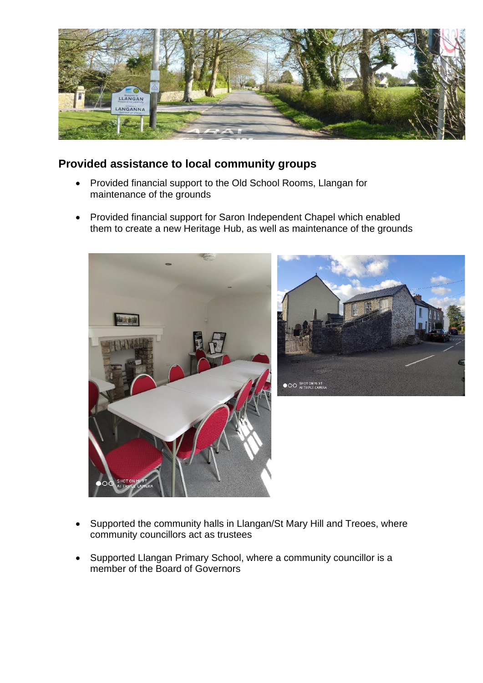

#### **Provided assistance to local community groups**

- Provided financial support to the Old School Rooms, Llangan for maintenance of the grounds
- Provided financial support for Saron Independent Chapel which enabled them to create a new Heritage Hub, as well as maintenance of the grounds





- Supported the community halls in Llangan/St Mary Hill and Treoes, where community councillors act as trustees
- Supported Llangan Primary School, where a community councillor is a member of the Board of Governors